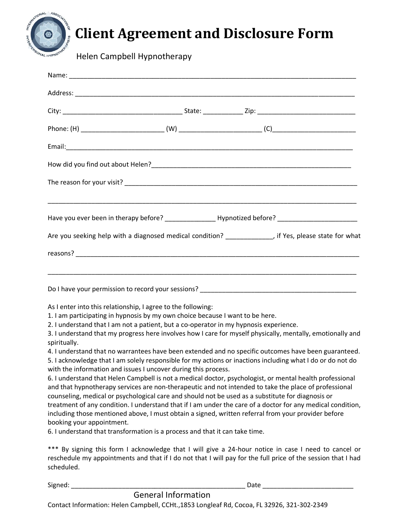

# **Client Agreement and Disclosure Form**

Helen Campbell Hypnotherapy

| Have you ever been in therapy before? ___________________Hypnotized before? _______________________                                                                                                                                                                                                                                                                                                                                                                                                                                                                                                                                                                                                                                                                                                                                                                                                                                                                                                                                                                                                                                                                                                                                                                                                                      |  |  |  |
|--------------------------------------------------------------------------------------------------------------------------------------------------------------------------------------------------------------------------------------------------------------------------------------------------------------------------------------------------------------------------------------------------------------------------------------------------------------------------------------------------------------------------------------------------------------------------------------------------------------------------------------------------------------------------------------------------------------------------------------------------------------------------------------------------------------------------------------------------------------------------------------------------------------------------------------------------------------------------------------------------------------------------------------------------------------------------------------------------------------------------------------------------------------------------------------------------------------------------------------------------------------------------------------------------------------------------|--|--|--|
| Are you seeking help with a diagnosed medical condition? ______________, if Yes, please state for what                                                                                                                                                                                                                                                                                                                                                                                                                                                                                                                                                                                                                                                                                                                                                                                                                                                                                                                                                                                                                                                                                                                                                                                                                   |  |  |  |
|                                                                                                                                                                                                                                                                                                                                                                                                                                                                                                                                                                                                                                                                                                                                                                                                                                                                                                                                                                                                                                                                                                                                                                                                                                                                                                                          |  |  |  |
|                                                                                                                                                                                                                                                                                                                                                                                                                                                                                                                                                                                                                                                                                                                                                                                                                                                                                                                                                                                                                                                                                                                                                                                                                                                                                                                          |  |  |  |
|                                                                                                                                                                                                                                                                                                                                                                                                                                                                                                                                                                                                                                                                                                                                                                                                                                                                                                                                                                                                                                                                                                                                                                                                                                                                                                                          |  |  |  |
| As I enter into this relationship, I agree to the following:<br>1. I am participating in hypnosis by my own choice because I want to be here.<br>2. I understand that I am not a patient, but a co-operator in my hypnosis experience.<br>3. I understand that my progress here involves how I care for myself physically, mentally, emotionally and<br>spiritually.<br>4. I understand that no warrantees have been extended and no specific outcomes have been guaranteed.<br>5. I acknowledge that I am solely responsible for my actions or inactions including what I do or do not do<br>with the information and issues I uncover during this process.<br>6. I understand that Helen Campbell is not a medical doctor, psychologist, or mental health professional<br>and that hypnotherapy services are non-therapeutic and not intended to take the place of professional<br>counseling, medical or psychological care and should not be used as a substitute for diagnosis or<br>treatment of any condition. I understand that if I am under the care of a doctor for any medical condition,<br>including those mentioned above, I must obtain a signed, written referral from your provider before<br>booking your appointment.<br>6. I understand that transformation is a process and that it can take time. |  |  |  |

\*\*\* By signing this form I acknowledge that I will give a 24-hour notice in case I need to cancel or reschedule my appointments and that if I do not that I will pay for the full price of the session that I had scheduled.

Signed: \_\_\_\_\_\_\_\_\_\_\_\_\_\_\_\_\_\_\_\_\_\_\_\_\_\_\_\_\_\_\_\_\_\_\_\_\_\_\_\_\_\_\_\_\_\_\_\_ Date \_\_\_\_\_\_\_\_\_\_\_\_\_\_\_\_\_\_\_\_\_\_\_\_\_

### General Information

Contact Information: Helen Campbell, CCHt.,1853 Longleaf Rd, Cocoa, FL 32926, 321-302-2349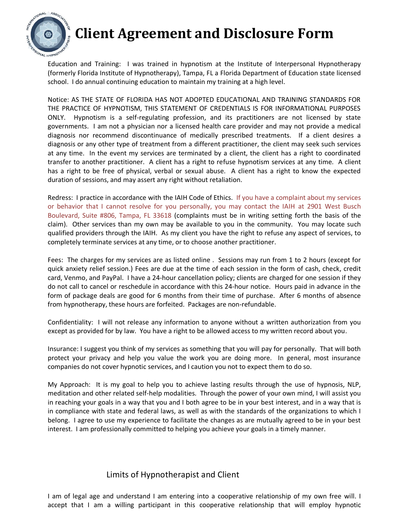

## **Client Agreement and Disclosure Form**

Education and Training: I was trained in hypnotism at the Institute of Interpersonal Hypnotherapy (formerly Florida Institute of Hypnotherapy), Tampa, FL a Florida Department of Education state licensed school. I do annual continuing education to maintain my training at a high level.

Notice: AS THE STATE OF FLORIDA HAS NOT ADOPTED EDUCATIONAL AND TRAINING STANDARDS FOR THE PRACTICE OF HYPNOTISM, THIS STATEMENT OF CREDENTIALS IS FOR INFORMATIONAL PURPOSES ONLY. Hypnotism is a self-regulating profession, and its practitioners are not licensed by state governments. I am not a physician nor a licensed health care provider and may not provide a medical diagnosis nor recommend discontinuance of medically prescribed treatments. If a client desires a diagnosis or any other type of treatment from a different practitioner, the client may seek such services at any time. In the event my services are terminated by a client, the client has a right to coordinated transfer to another practitioner. A client has a right to refuse hypnotism services at any time. A client has a right to be free of physical, verbal or sexual abuse. A client has a right to know the expected duration of sessions, and may assert any right without retaliation.

Redress: I practice in accordance with the IAIH Code of Ethics. If you have a complaint about my services or behavior that I cannot resolve for you personally, you may contact the IAIH at 2901 West Busch Boulevard, Suite #806, Tampa, FL 33618 (complaints must be in writing setting forth the basis of the claim). Other services than my own may be available to you in the community. You may locate such qualified providers through the IAIH. As my client you have the right to refuse any aspect of services, to completely terminate services at any time, or to choose another practitioner.

Fees: The charges for my services are as listed online . Sessions may run from 1 to 2 hours (except for quick anxiety relief session.) Fees are due at the time of each session in the form of cash, check, credit card, Venmo, and PayPal. I have a 24-hour cancellation policy; clients are charged for one session if they do not call to cancel or reschedule in accordance with this 24-hour notice. Hours paid in advance in the form of package deals are good for 6 months from their time of purchase. After 6 months of absence from hypnotherapy, these hours are forfeited. Packages are non-refundable.

Confidentiality: I will not release any information to anyone without a written authorization from you except as provided for by law. You have a right to be allowed access to my written record about you.

Insurance: I suggest you think of my services as something that you will pay for personally. That will both protect your privacy and help you value the work you are doing more. In general, most insurance companies do not cover hypnotic services, and I caution you not to expect them to do so.

My Approach: It is my goal to help you to achieve lasting results through the use of hypnosis, NLP, meditation and other related self-help modalities. Through the power of your own mind, I will assist you in reaching your goals in a way that you and I both agree to be in your best interest, and in a way that is in compliance with state and federal laws, as well as with the standards of the organizations to which I belong. I agree to use my experience to facilitate the changes as are mutually agreed to be in your best interest. I am professionally committed to helping you achieve your goals in a timely manner.

#### Limits of Hypnotherapist and Client

I am of legal age and understand I am entering into a cooperative relationship of my own free will. I accept that I am a willing participant in this cooperative relationship that will employ hypnotic